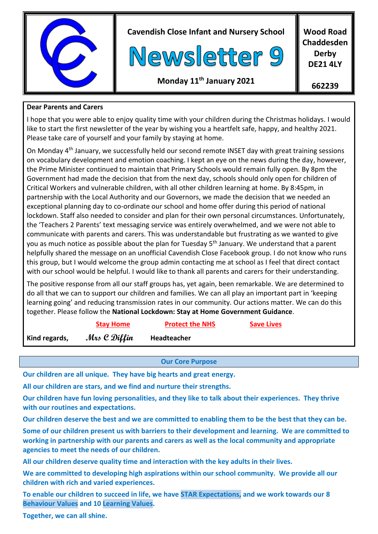

**Cavendish Close Infant and Nursery School**



**Wood Road Chaddesden Derby DE21 4LY**

# **Monday 11 th January 2021**

**662239**

### **Dear Parents and Carers**

I hope that you were able to enjoy quality time with your children during the Christmas holidays. I would like to start the first newsletter of the year by wishing you a heartfelt safe, happy, and healthy 2021. Please take care of yourself and your family by staying at home.

On Monday 4th January, we successfully held our second remote INSET day with great training sessions on vocabulary development and emotion coaching. I kept an eye on the news during the day, however, the Prime Minister continued to maintain that Primary Schools would remain fully open. By 8pm the Government had made the decision that from the next day, schools should only open for children of Critical Workers and vulnerable children, with all other children learning at home. By 8:45pm, in partnership with the Local Authority and our Governors, we made the decision that we needed an exceptional planning day to co-ordinate our school and home offer during this period of national lockdown. Staff also needed to consider and plan for their own personal circumstances. Unfortunately, the 'Teachers 2 Parents' text messaging service was entirely overwhelmed, and we were not able to communicate with parents and carers. This was understandable but frustrating as we wanted to give you as much notice as possible about the plan for Tuesday 5<sup>th</sup> January. We understand that a parent helpfully shared the message on an unofficial Cavendish Close Facebook group. I do not know who runs this group, but I would welcome the group admin contacting me at school as I feel that direct contact with our school would be helpful. I would like to thank all parents and carers for their understanding.

The positive response from all our staff groups has, yet again, been remarkable. We are determined to do all that we can to support our children and families. We can all play an important part in 'keeping learning going' and reducing transmission rates in our community. Our actions matter. We can do this together. Please follow the **National Lockdown: Stay at Home Government Guidance**.

|               | <b>Stay Home</b> | <b>Protect the NHS</b> | <b>Save Lives</b> |  |
|---------------|------------------|------------------------|-------------------|--|
| Kind regards, | Mrs C Diffin     | Headteacher            |                   |  |
|               |                  |                        |                   |  |

### **Our Core Purpose**

**Our children are all unique. They have big hearts and great energy.**

**All our children are stars, and we find and nurture their strengths.**

**Our children have fun loving personalities, and they like to talk about their experiences. They thrive with our routines and expectations.**

**Our children deserve the best and we are committed to enabling them to be the best that they can be.**

**Some of our children present us with barriers to their development and learning. We are committed to working in partnership with our parents and carers as well as the local community and appropriate agencies to meet the needs of our children.** 

**All our children deserve quality time and interaction with the key adults in their lives.** 

**We are committed to developing high aspirations within our school community. We provide all our children with rich and varied experiences.**

**To enable our children to succeed in life, we have STAR Expectations, and we work towards our 8 Behaviour Values and 10 Learning Values.**

**Together, we can all shine.**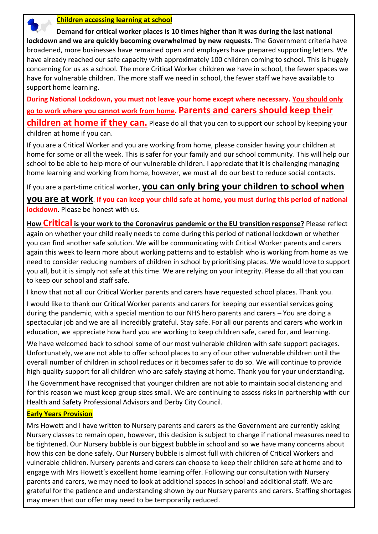

 **Demand for critical worker places is 10 times higher than it was during the last national lockdown and we are quickly becoming overwhelmed by new requests.** The Government criteria have broadened, more businesses have remained open and employers have prepared supporting letters. We have already reached our safe capacity with approximately 100 children coming to school. This is hugely concerning for us as a school. The more Critical Worker children we have in school, the fewer spaces we have for vulnerable children. The more staff we need in school, the fewer staff we have available to support home learning.

**During National Lockdown, you must not leave your home except where necessary. You should only go to work where you cannot work from home. Parents and carers should keep their children at home if they can.** Please do all that you can to support our school by keeping your children at home if you can.

If you are a Critical Worker and you are working from home, please consider having your children at home for some or all the week. This is safer for your family and our school community. This will help our school to be able to help more of our vulnerable children. I appreciate that it is challenging managing home learning and working from home, however, we must all do our best to reduce social contacts.

If you are a part-time critical worker, **you can only bring your children to school when** 

**you are at work**. **If you can keep your child safe at home, you must during this period of national lockdown**. Please be honest with us.

**How Critical is your work to the Coronavirus pandemic or the EU transition response?** Please reflect again on whether your child really needs to come during this period of national lockdown or whether you can find another safe solution. We will be communicating with Critical Worker parents and carers again this week to learn more about working patterns and to establish who is working from home as we need to consider reducing numbers of children in school by prioritising places. We would love to support you all, but it is simply not safe at this time. We are relying on your integrity. Please do all that you can to keep our school and staff safe.

I know that not all our Critical Worker parents and carers have requested school places. Thank you.

I would like to thank our Critical Worker parents and carers for keeping our essential services going during the pandemic, with a special mention to our NHS hero parents and carers – You are doing a spectacular job and we are all incredibly grateful. Stay safe. For all our parents and carers who work in education, we appreciate how hard you are working to keep children safe, cared for, and learning.

We have welcomed back to school some of our most vulnerable children with safe support packages. Unfortunately, we are not able to offer school places to any of our other vulnerable children until the overall number of children in school reduces or it becomes safer to do so. We will continue to provide high-quality support for all children who are safely staying at home. Thank you for your understanding.

The Government have recognised that younger children are not able to maintain social distancing and for this reason we must keep group sizes small. We are continuing to assess risks in partnership with our Health and Safety Professional Advisors and Derby City Council.

# **Early Years Provision**

Mrs Howett and I have written to Nursery parents and carers as the Government are currently asking Nursery classes to remain open, however, this decision is subject to change if national measures need to be tightened. Our Nursery bubble is our biggest bubble in school and so we have many concerns about how this can be done safely. Our Nursery bubble is almost full with children of Critical Workers and vulnerable children. Nursery parents and carers can choose to keep their children safe at home and to engage with Mrs Howett's excellent home learning offer. Following our consultation with Nursery parents and carers, we may need to look at additional spaces in school and additional staff. We are grateful for the patience and understanding shown by our Nursery parents and carers. Staffing shortages may mean that our offer may need to be temporarily reduced.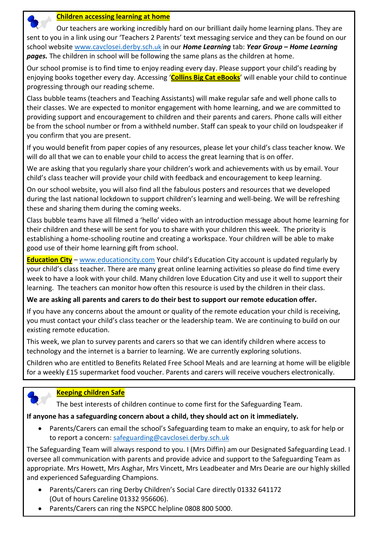

#### **Children accessing learning at home**

 Our teachers are working incredibly hard on our brilliant daily home learning plans. They are sent to you in a link using our 'Teachers 2 Parents' text messaging service and they can be found on our school website [www.cavclosei.derby.sch.](http://www.cavclosei.derby.sch/)uk in our *Home Learning* tab: *Year Group – Home Learning pages.* The children in school will be following the same plans as the children at home.

Our school promise is to find time to enjoy reading every day. Please support your child's reading by enjoying books together every day. Accessing '**Collins Big Cat eBooks**' will enable your child to continue progressing through our reading scheme.

Class bubble teams (teachers and Teaching Assistants) will make regular safe and well phone calls to their classes. We are expected to monitor engagement with home learning, and we are committed to providing support and encouragement to children and their parents and carers. Phone calls will either be from the school number or from a withheld number. Staff can speak to your child on loudspeaker if you confirm that you are present.

If you would benefit from paper copies of any resources, please let your child's class teacher know. We will do all that we can to enable your child to access the great learning that is on offer.

We are asking that you regularly share your children's work and achievements with us by email. Your child's class teacher will provide your child with feedback and encouragement to keep learning.

On our school website, you will also find all the fabulous posters and resources that we developed during the last national lockdown to support children's learning and well-being. We will be refreshing these and sharing them during the coming weeks.

Class bubble teams have all filmed a 'hello' video with an introduction message about home learning for their children and these will be sent for you to share with your children this week. The priority is establishing a home-schooling routine and creating a workspace. Your children will be able to make good use of their home learning gift from school.

**Education City** – [www.educationcity.com](http://www.educationcity.com/) Your child's Education City account is updated regularly by your child's class teacher. There are many great online learning activities so please do find time every week to have a look with your child. Many children love Education City and use it well to support their learning. The teachers can monitor how often this resource is used by the children in their class.

### **We are asking all parents and carers to do their best to support our remote education offer.**

If you have any concerns about the amount or quality of the remote education your child is receiving, you must contact your child's class teacher or the leadership team. We are continuing to build on our existing remote education.

This week, we plan to survey parents and carers so that we can identify children where access to technology and the internet is a barrier to learning. We are currently exploring solutions.

Children who are entitled to Benefits Related Free School Meals and are learning at home will be eligible for a weekly £15 supermarket food voucher. Parents and carers will receive vouchers electronically.



### **Keeping children Safe**

The best interests of children continue to come first for the Safeguarding Team.

## **If anyone has a safeguarding concern about a child, they should act on it immediately.**

 Parents/Carers can email the school's Safeguarding team to make an enquiry, to ask for help or to report a concern: [safeguarding@cavclosei.derby.sch.uk](mailto:safeguarding@cavclosei.derby.sch.uk)

The Safeguarding Team will always respond to you. I (Mrs Diffin) am our Designated Safeguarding Lead. I oversee all communication with parents and provide advice and support to the Safeguarding Team as appropriate. Mrs Howett, Mrs Asghar, Mrs Vincett, Mrs Leadbeater and Mrs Dearie are our highly skilled and experienced Safeguarding Champions.

- Parents/Carers can ring Derby Children's Social Care directly 01332 641172 (Out of hours Careline 01332 956606).
- Parents/Carers can ring the NSPCC helpline 0808 800 5000.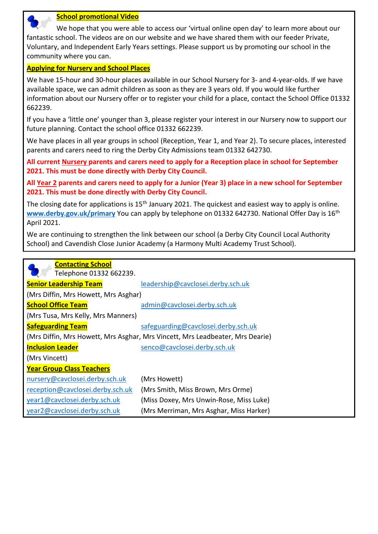

#### **School promotional Video**

 We hope that you were able to access our 'virtual online open day' to learn more about our fantastic school. The videos are on our website and we have shared them with our feeder Private, Voluntary, and Independent Early Years settings. Please support us by promoting our school in the community where you can.

### **Applying for Nursery and School Places**

We have 15-hour and 30-hour places available in our School Nursery for 3- and 4-year-olds. If we have available space, we can admit children as soon as they are 3 years old. If you would like further information about our Nursery offer or to register your child for a place, contact the School Office 01332 662239.

If you have a 'little one' younger than 3, please register your interest in our Nursery now to support our future planning. Contact the school office 01332 662239.

We have places in all year groups in school (Reception, Year 1, and Year 2). To secure places, interested parents and carers need to ring the Derby City Admissions team 01332 642730.

**All current Nursery parents and carers need to apply for a Reception place in school for September 2021. This must be done directly with Derby City Council.**

**All Year 2 parents and carers need to apply for a Junior (Year 3) place in a new school for September 2021. This must be done directly with Derby City Council.** 

The closing date for applications is 15<sup>th</sup> January 2021. The quickest and easiest way to apply is online. [www.derby.gov.uk/primary](http://www.derby.gov.uk/primary) You can apply by telephone on 01332 642730. National Offer Day is 16<sup>th</sup> April 2021.

We are continuing to strengthen the link between our school (a Derby City Council Local Authority School) and Cavendish Close Junior Academy (a Harmony Multi Academy Trust School).

| <b>Contacting School</b>                                                      |                                         |  |  |  |
|-------------------------------------------------------------------------------|-----------------------------------------|--|--|--|
| Telephone 01332 662239.                                                       |                                         |  |  |  |
| <b>Senior Leadership Team</b>                                                 | leadership@cavclosei.derby.sch.uk       |  |  |  |
| (Mrs Diffin, Mrs Howett, Mrs Asghar)                                          |                                         |  |  |  |
| <b>School Office Team</b>                                                     | admin@cavclosei.derby.sch.uk            |  |  |  |
| (Mrs Tusa, Mrs Kelly, Mrs Manners)                                            |                                         |  |  |  |
| <b>Safeguarding Team</b>                                                      | safeguarding@cavclosei.derby.sch.uk     |  |  |  |
| (Mrs Diffin, Mrs Howett, Mrs Asghar, Mrs Vincett, Mrs Leadbeater, Mrs Dearie) |                                         |  |  |  |
| <b>Inclusion Leader</b>                                                       | senco@cavclosei.derby.sch.uk            |  |  |  |
| (Mrs Vincett)                                                                 |                                         |  |  |  |
| <b>Year Group Class Teachers</b>                                              |                                         |  |  |  |
| nursery@cavclosei.derby.sch.uk                                                | (Mrs Howett)                            |  |  |  |
| reception@cavclosei.derby.sch.uk                                              | (Mrs Smith, Miss Brown, Mrs Orme)       |  |  |  |
| year1@cavclosei.derby.sch.uk                                                  | (Miss Doxey, Mrs Unwin-Rose, Miss Luke) |  |  |  |
| year2@cavclosei.derby.sch.uk                                                  | (Mrs Merriman, Mrs Asghar, Miss Harker) |  |  |  |